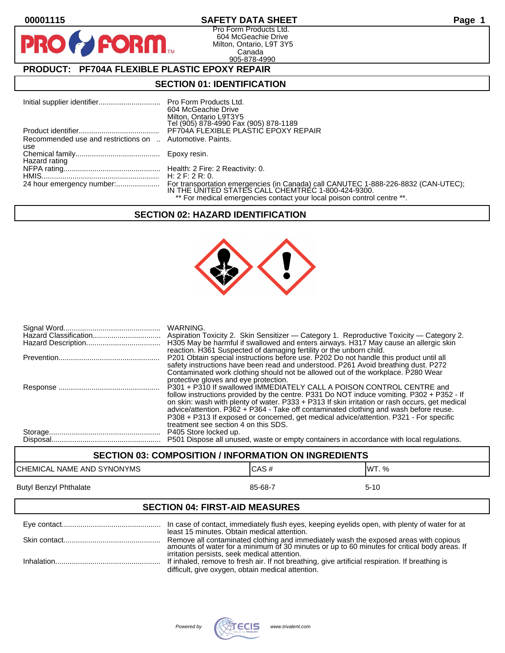PR

## **00001115 SAFETY DATA SHEET Page 1**

Pro Form Products Ltd. 604 McGeachie Drive Milton, Ontario, L9T 3Y5 Canada 905-878-4990

## **PRODUCT: PF704A FLEXIBLE PLASTIC EPOXY REPAIR**

**FORM** 

#### **SECTION 01: IDENTIFICATION**

|                                                          | <b>Pro Form Products Ltd.</b>                                                                                                            |
|----------------------------------------------------------|------------------------------------------------------------------------------------------------------------------------------------------|
|                                                          | 604 McGeachie Drive                                                                                                                      |
|                                                          | Milton, Ontario L9T3Y5                                                                                                                   |
|                                                          | Tel (905) 878-4990 Fax (905) 878-1189                                                                                                    |
|                                                          | PF704A FLEXIBLE PLASTIC EPOXY REPAIR                                                                                                     |
| Recommended use and restrictions on  Automotive. Paints. |                                                                                                                                          |
| use                                                      |                                                                                                                                          |
|                                                          | Epoxy resin.                                                                                                                             |
| Hazard rating                                            |                                                                                                                                          |
|                                                          | Health: 2 Fire: 2 Reactivity: 0.                                                                                                         |
|                                                          | H: $2$ F: $2$ R: 0.                                                                                                                      |
|                                                          | For transportation emergencies (in Canada) call CANUTEC 1-888-226-8832 (CAN-UTEC);<br>IN THE UNITED STATES CALL CHEMTREC 1-800-424-9300. |
|                                                          |                                                                                                                                          |
|                                                          | ** For medical emergencies contact your local poison control centre **.                                                                  |

## **SECTION 02: HAZARD IDENTIFICATION**



| WARNING.<br>H305 May be harmful if swallowed and enters airways. H317 May cause an allergic skin<br>reaction. H361 Suspected of damaging fertility or the unborn child.                                                                                                                                                                                                                                                                                                                         |
|-------------------------------------------------------------------------------------------------------------------------------------------------------------------------------------------------------------------------------------------------------------------------------------------------------------------------------------------------------------------------------------------------------------------------------------------------------------------------------------------------|
| P201 Obtain special instructions before use. P202 Do not handle this product until all<br>safety instructions have been read and understood. P261 Avoid breathing dust. P272<br>Contaminated work clothing should not be allowed out of the workplace. P280 Wear<br>protective gloves and eye protection.                                                                                                                                                                                       |
| P301 + P310 If swallowed IMMEDIATELY CALL A POISON CONTROL CENTRE and<br>follow instructions provided by the centre. P331 Do NOT induce vomiting. P302 + P352 - If<br>on skin: wash with plenty of water. P333 + P313 If skin irritation or rash occurs, get medical<br>advice/attention. P362 + P364 - Take off contaminated clothing and wash before reuse.<br>P308 + P313 If exposed or concerned, get medical advice/attention. P321 - For specific<br>treatment see section 4 on this SDS. |
| P405 Store locked up.<br>P501 Dispose all unused, waste or empty containers in accordance with local regulations.                                                                                                                                                                                                                                                                                                                                                                               |

# **SECTION 03: COMPOSITION / INFORMATION ON INGREDIENTS** CHEMICAL NAME AND SYNONYMS CHEMICAL NAME AND SYNONYMS Butyl Benzyl Phthalate 85-68-7 5-10

#### **SECTION 04: FIRST-AID MEASURES**

| least 15 minutes. Obtain medical attention.                                                                                                                                                          |
|------------------------------------------------------------------------------------------------------------------------------------------------------------------------------------------------------|
| Remove all contaminated clothing and immediately wash the exposed areas with copious<br>amounts of water for a minimum of 30 minutes or up to 60 minutes for critical body areas. If                 |
| irritation persists, seek medical attention.<br>If inhaled, remove to fresh air. If not breathing, give artificial respiration. If breathing is<br>difficult, give oxygen, obtain medical attention. |

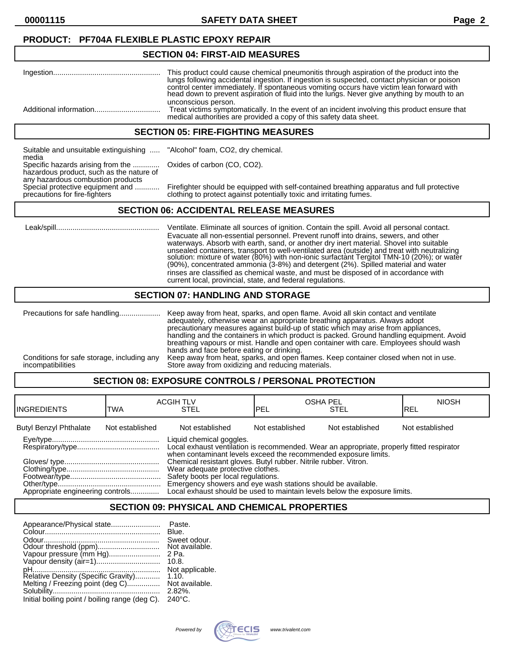## **PRODUCT: PF704A FLEXIBLE PLASTIC EPOXY REPAIR**

#### **SECTION 04: FIRST-AID MEASURES**

| This product could cause chemical pneumonitis through aspiration of the product into the<br>lungs following accidental ingestion. If ingestion is suspected, contact physician or poison<br>control center immediately. If spontaneous vomiting occurs have victim lean forward with<br>head down to prevent aspiration of fluid into the lungs. Never give anything by mouth to an |
|-------------------------------------------------------------------------------------------------------------------------------------------------------------------------------------------------------------------------------------------------------------------------------------------------------------------------------------------------------------------------------------|
| unconscious person.<br>Treat victims symptomatically. In the event of an incident involving this product ensure that<br>medical authorities are provided a copy of this safety data sheet.                                                                                                                                                                                          |

#### **SECTION 05: FIRE-FIGHTING MEASURES**

Suitable and unsuitable extinguishing ..... "Alcohol" foam, CO2, dry chemical. media Specific hazards arising from the ............. Oxides of carbon (CO, CO2). hazardous product, such as the nature of any hazardous combustion products<br>Special protective equipment and ............

Special protective equipment and ............ Firefighter should be equipped with self-contained breathing apparatus and full protective<br>precautions for fire-fighters clothing to protect against potentially toxic and irrit clothing to protect against potentially toxic and irritating fumes.

## **SECTION 06: ACCIDENTAL RELEASE MEASURES**

 Leak/spill.................................................. Ventilate. Eliminate all sources of ignition. Contain the spill. Avoid all personal contact. Evacuate all non-essential personnel. Prevent runoff into drains, sewers, and other waterways. Absorb with earth, sand, or another dry inert material. Shovel into suitable unsealed containers, transport to well-ventilated area (outside) and treat with neutralizing solution: mixture of water (80%) with non-ionic surfactànt Tergitol TMN-10 (20%); or water (90%), concentrated ammonia (3-8%) and detergent (2%). Spilled material and water rinses are classified as chemical waste, and must be disposed of in accordance with current local, provincial, state, and federal regulations.

#### **SECTION 07: HANDLING AND STORAGE**

|                                                                 | adequately, otherwise wear an appropriate breathing apparatus. Always adopt<br>precautionary measures against build-up of static which may arise from appliances,<br>handling and the containers in which product is packed. Ground handling equipment. Avoid                   |
|-----------------------------------------------------------------|---------------------------------------------------------------------------------------------------------------------------------------------------------------------------------------------------------------------------------------------------------------------------------|
| Conditions for safe storage, including any<br>incompatibilities | breathing vapours or mist. Handle and open container with care. Employees should wash<br>hands and face before eating or drinking.<br>Keep away from heat, sparks, and open flames. Keep container closed when not in use.<br>Store away from oxidizing and reducing materials. |

## **SECTION 08: EXPOSURE CONTROLS / PERSONAL PROTECTION**

| <b>IINGREDIENTS</b>              | TWA             | <b>ACGIH TLV</b><br><b>STEL</b>                                                                                                                                                                                                                                                                                                                                                                                                                                                        | lpel            | <b>OSHA PEL</b><br>STEL | <b>NIOSH</b><br>IREL |
|----------------------------------|-----------------|----------------------------------------------------------------------------------------------------------------------------------------------------------------------------------------------------------------------------------------------------------------------------------------------------------------------------------------------------------------------------------------------------------------------------------------------------------------------------------------|-----------------|-------------------------|----------------------|
| <b>Butyl Benzyl Phthalate</b>    | Not established | Not established                                                                                                                                                                                                                                                                                                                                                                                                                                                                        | Not established | Not established         | Not established      |
| Appropriate engineering controls |                 | Liquid chemical goggles.<br>Local exhaust ventilation is recommended. Wear an appropriate, properly fitted respirator<br>when contaminant levels exceed the recommended exposure limits.<br>Chemical resistant gloves. Butyl rubber. Nitrile rubber. Vitron.<br>Wear adequate protective clothes.<br>Safety boots per local regulations.<br>Emergency showers and eye wash stations should be available.<br>Local exhaust should be used to maintain levels below the exposure limits. |                 |                         |                      |

## **SECTION 09: PHYSICAL AND CHEMICAL PROPERTIES**

| Appearance/Physical state                      | Paste.           |
|------------------------------------------------|------------------|
|                                                | Blue.            |
|                                                | Sweet odour.     |
|                                                | Not available.   |
| Vapour pressure (mm Hg)                        | 2 Pa.            |
|                                                | 10.8.            |
|                                                | Not applicable.  |
| Relative Density (Specific Gravity)            | 1.10.            |
| Melting / Freezing point (deg C)               | Not available.   |
|                                                | $2.82\%$ .       |
| Initial boiling point / boiling range (deg C). | $240^{\circ}$ C. |

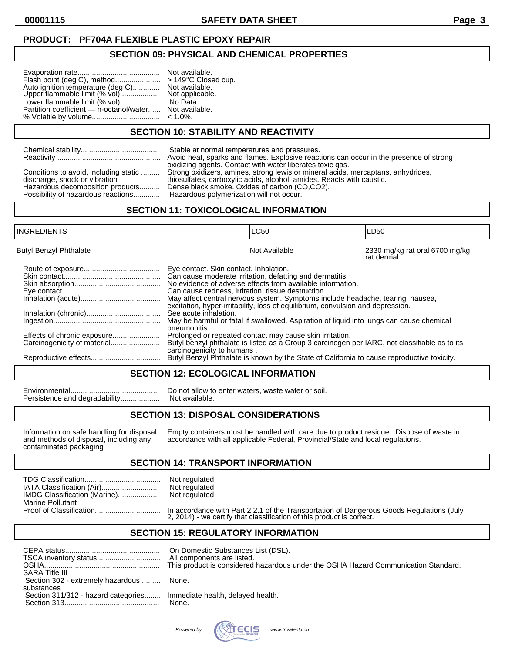## **PRODUCT: PF704A FLEXIBLE PLASTIC EPOXY REPAIR**

#### **SECTION 09: PHYSICAL AND CHEMICAL PROPERTIES**

|                                                                    | N            |
|--------------------------------------------------------------------|--------------|
| Flash point (deg C), method                                        | $\geq$       |
| Auto ignition temperature (deg C)<br>Upper flammable limit (% vol) | N            |
|                                                                    | N            |
| Lower flammable limit (% vol)                                      | $\mathsf{L}$ |
| Partition coefficient — n-octanol/water N                          |              |
| % Volatile by volume                                               | $\epsilon$   |
|                                                                    |              |

Iot available. 149°C Closed cup. lot available. Upper final limit (Not applicable. **No Data. Jot available.**  $1.0\%$ .

#### **SECTION 10: STABILITY AND REACTIVITY**

| Stable at normal temperatures and pressures.<br>Avoid heat, sparks and flames. Explosive reactions can occur in the presence of strong<br>oxidizing agents. Contact with water liberates toxic gas.<br>Conditions to avoid, including static<br>Strong oxidizers, amines, strong lewis or mineral acids, mercaptans, anhydrides,<br>thiosulfates, carboxylic acids, alcohol, amides. Reacts with caustic.<br>discharge, shock or vibration<br>Dense black smoke. Oxides of carbon (CO,CO2).<br>Hazardous decomposition products<br>Hazardous polymerization will not occur.<br>Possibility of hazardous reactions |
|-------------------------------------------------------------------------------------------------------------------------------------------------------------------------------------------------------------------------------------------------------------------------------------------------------------------------------------------------------------------------------------------------------------------------------------------------------------------------------------------------------------------------------------------------------------------------------------------------------------------|
|-------------------------------------------------------------------------------------------------------------------------------------------------------------------------------------------------------------------------------------------------------------------------------------------------------------------------------------------------------------------------------------------------------------------------------------------------------------------------------------------------------------------------------------------------------------------------------------------------------------------|

## **SECTION 11: TOXICOLOGICAL INFORMATION**

| <b>INGREDIENTS</b>            |                                                                                                                                       | <b>LC50</b>                                                                                                                                                                                                                                                                                                                                                                                                                                         | LD <sub>50</sub>                             |
|-------------------------------|---------------------------------------------------------------------------------------------------------------------------------------|-----------------------------------------------------------------------------------------------------------------------------------------------------------------------------------------------------------------------------------------------------------------------------------------------------------------------------------------------------------------------------------------------------------------------------------------------------|----------------------------------------------|
| <b>Butyl Benzyl Phthalate</b> |                                                                                                                                       | Not Available                                                                                                                                                                                                                                                                                                                                                                                                                                       | 2330 mg/kg rat oral 6700 mg/kg<br>rat dermal |
|                               | Eye contact. Skin contact. Inhalation.<br>Can cause redness, irritation, tissue destruction.<br>See acute inhalation.<br>pneumonitis. | Can cause moderate irritation, defatting and dermatitis.<br>No evidence of adverse effects from available information.<br>May affect central nervous system. Symptoms include headache, tearing, nausea,<br>excitation, hyper-irritability, loss of equilibrium, convulsion and depression.<br>May be harmful or fatal if swallowed. Aspiration of liquid into lungs can cause chemical<br>Prolonged or repeated contact may cause skin irritation. |                                              |
|                               | carcinogenicity to humans.                                                                                                            | Butyl benzyl phthalate is listed as a Group 3 carcinogen per IARC, not classifiable as to its<br>Butyl Benzyl Phthalate is known by the State of California to cause reproductive toxicity.                                                                                                                                                                                                                                                         |                                              |

## **SECTION 12: ECOLOGICAL INFORMATION**

Environmental........................................... Do not allow to enter waters, waste water or soil. Persistence and degradability..................

#### **SECTION 13: DISPOSAL CONSIDERATIONS**

contaminated packaging

Information on safe handling for disposal . Empty containers must be handled with care due to product residue. Dispose of waste in and methods of disposal, including any accordance with all applicable Federal, Provincial/S accordance with all applicable Federal, Provincial/State and local regulations.

#### **SECTION 14: TRANSPORT INFORMATION**

| IMDG Classification (Marine) | Not regulated.<br>Not regulated.<br>Not regulated. |
|------------------------------|----------------------------------------------------|
| Marine Pollutant             |                                                    |
|                              |                                                    |

Proof of Classification................................ In accordance with Part 2.2.1 of the Transportation of Dangerous Goods Regulations (July 2, 2014) - we certify that classification of this product is correct. .

## **SECTION 15: REGULATORY INFORMATION**

| SARA Title III<br>Section 302 - extremely hazardous<br>substances     | On Domestic Substances List (DSL).<br>All components are listed.<br>This product is considered hazardous under the OSHA Hazard Communication Standard.<br>None. |
|-----------------------------------------------------------------------|-----------------------------------------------------------------------------------------------------------------------------------------------------------------|
| Section 311/312 - hazard categories Immediate health, delayed health. | None.                                                                                                                                                           |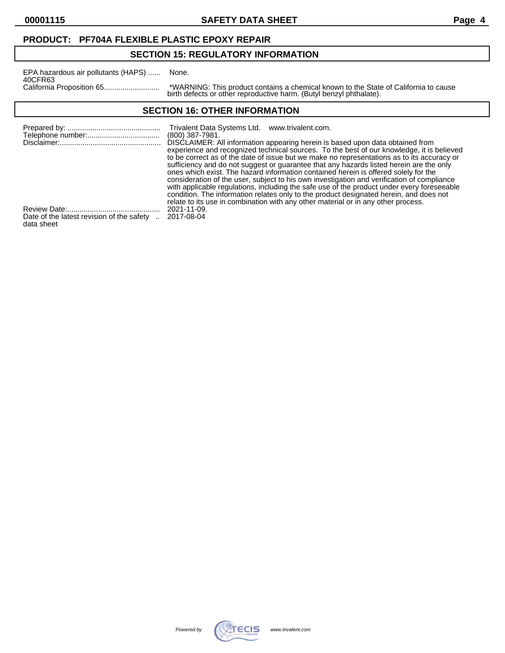## **PRODUCT: PF704A FLEXIBLE PLASTIC EPOXY REPAIR**

## **SECTION 15: REGULATORY INFORMATION**

| EPA hazardous air pollutants (HAPS) | None.             |
|-------------------------------------|-------------------|
| 40CFR63                             |                   |
| California Proposition 65           | *WARI<br>مام طهنط |

California Proposition 65........................... \*WARNING: This product contains a chemical known to the State of California to cause birth defects or other reproductive harm. (Butyl benzyl phthalate).

## **SECTION 16: OTHER INFORMATION**

|                                                       | Trivalent Data Systems Ltd. www.trivalent.com.<br>$(800)$ 387-7981.                                                                                                                                                                                                                |
|-------------------------------------------------------|------------------------------------------------------------------------------------------------------------------------------------------------------------------------------------------------------------------------------------------------------------------------------------|
|                                                       | DISCLAIMER: All information appearing herein is based upon data obtained from<br>experience and recognized technical sources. To the best of our knowledge, it is believed<br>to be correct as of the date of issue but we make no representations as to its accuracy or           |
|                                                       | sufficiency and do not suggest or guarantee that any hazards listed herein are the only<br>ones which exist. The hazard information contained herein is offered solely for the                                                                                                     |
|                                                       | consideration of the user, subject to his own investigation and verification of compliance<br>with applicable regulations, including the safe use of the product under every foreseeable<br>condition. The information relates only to the product designated herein, and does not |
|                                                       | relate to its use in combination with any other material or in any other process.                                                                                                                                                                                                  |
|                                                       | 2021-11-09.                                                                                                                                                                                                                                                                        |
| Date of the latest revision of the safety  2017-08-04 |                                                                                                                                                                                                                                                                                    |

data sheet

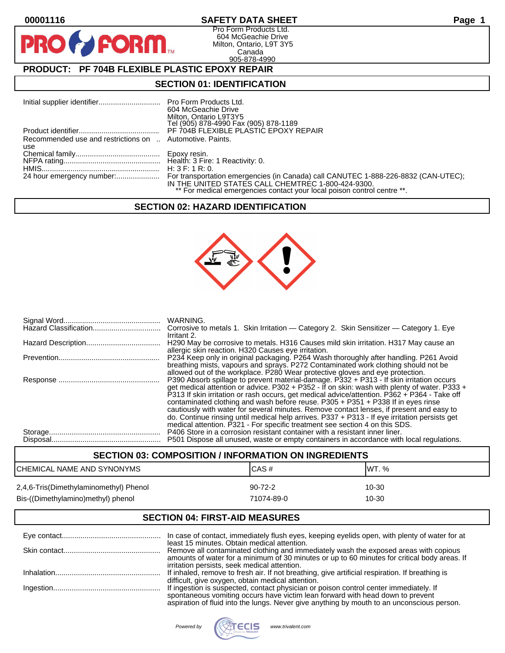**PIR** 

## **00001116 SAFETY DATA SHEET Page 1**

Pro Form Products Ltd. 604 McGeachie Drive Milton, Ontario, L9T 3Y5 Canada 905-878-4990

## **PRODUCT: PF 704B FLEXIBLE PLASTIC EPOXY REPAIR**

**FORM.** 

## **SECTION 01: IDENTIFICATION**

|                                                          | 604 McGeachie Drive<br>Milton, Ontario L9T3Y5<br>Tel (905) 878-4990 Fax (905) 878-1189                                        |
|----------------------------------------------------------|-------------------------------------------------------------------------------------------------------------------------------|
|                                                          |                                                                                                                               |
| Recommended use and restrictions on  Automotive. Paints. |                                                                                                                               |
| use                                                      |                                                                                                                               |
|                                                          |                                                                                                                               |
|                                                          |                                                                                                                               |
|                                                          |                                                                                                                               |
|                                                          | IN THE UNITED STATES CALL CHEMTREC 1-800-424-9300.<br>** For medical emergencies contact your local poison control centre **. |

#### **SECTION 02: HAZARD IDENTIFICATION**



| WARNING.<br>Corrosive to metals 1. Skin Irritation - Category 2. Skin Sensitizer - Category 1. Eye                                                                                                                                                                                                                                                                                                                                                                                                                                                        |
|-----------------------------------------------------------------------------------------------------------------------------------------------------------------------------------------------------------------------------------------------------------------------------------------------------------------------------------------------------------------------------------------------------------------------------------------------------------------------------------------------------------------------------------------------------------|
| Irritant 2.<br>H290 May be corrosive to metals. H316 Causes mild skin irritation. H317 May cause an<br>allergic skin reaction. H320 Causes eye irritation.                                                                                                                                                                                                                                                                                                                                                                                                |
| P234 Keep only in original packaging. P264 Wash thoroughly after handling. P261 Avoid<br>breathing mists, vapours and sprays. P272 Contaminated work clothing should not be                                                                                                                                                                                                                                                                                                                                                                               |
| allowed out of the workplace. P280 Wear protective gloves and eye protection.<br>P390 Absorb spillage to prevent material-damage. P332 + P313 - If skin irritation occurs<br>get medical attention or advice. P302 + P352 - If on skin: wash with plenty of water. P333 +<br>P313 If skin irritation or rash occurs, get medical advice/attention. P362 + P364 - Take off<br>contaminated clothing and wash before reuse. P305 + P351 + P338 If in eyes rinse<br>cautiously with water for several minutes. Remove contact lenses, if present and easy to |
| do. Continue rinsing until medical help arrives. P337 + P313 - If eye irritation persists get<br>medical attention. P321 - For specific treatment see section 4 on this SDS.<br>P406 Store in a corrosion resistant container with a resistant inner liner.<br>P501 Dispose all unused, waste or empty containers in accordance with local regulations.                                                                                                                                                                                                   |

## **SECTION 03: COMPOSITION / INFORMATION ON INGREDIENTS** CHEMICAL NAME AND SYNONYMS CAS # CAS # WT. % 2,4,6-Tris(Dimethylaminomethyl) Phenol 90-72-2 10-30 Bis-((Dimethylamino)methyl) phenol 71074-89-0 71074-89-0

## **SECTION 04: FIRST-AID MEASURES**

| In case of contact, immediately flush eyes, keeping eyelids open, with plenty of water for at                                                                                                                                                                         |
|-----------------------------------------------------------------------------------------------------------------------------------------------------------------------------------------------------------------------------------------------------------------------|
| least 15 minutes. Obtain medical attention.<br>Remove all contaminated clothing and immediately wash the exposed areas with copious<br>amounts of water for a minimum of 30 minutes or up to 60 minutes for critical body areas. If                                   |
| irritation persists, seek medical attention.<br>If inhaled, remove to fresh air. If not breathing, give artificial respiration. If breathing is                                                                                                                       |
| difficult, give oxygen, obtain medical attention.                                                                                                                                                                                                                     |
| If ingestion is suspected, contact physician or poison control center immediately. If<br>spontaneous vomiting occurs have victim lean forward with head down to prevent<br>aspiration of fluid into the lungs. Never give anything by mouth to an unconscious person. |

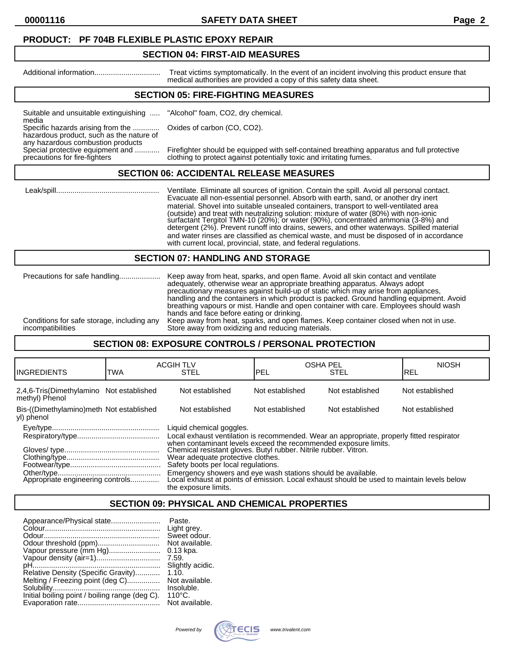#### **PRODUCT: PF 704B FLEXIBLE PLASTIC EPOXY REPAIR**

#### **SECTION 04: FIRST-AID MEASURES**

Additional information................................ Treat victims symptomatically. In the event of an incident involving this product ensure that medical authorities are provided a copy of this safety data sheet.

## **SECTION 05: FIRE-FIGHTING MEASURES**

Suitable and unsuitable extinguishing ..... "Alcohol" foam, CO2, dry chemical. media

Specific hazards arising from the ............. Oxides of carbon (CO, CO2).

hazardous product, such as the nature of any hazardous combustion products<br>Special protective equipment and ............

Special protective equipment and ............ Firefighter should be equipped with self-contained breathing apparatus and full protective<br>precautions for fire-fighters clothing to protect against potentially toxic and irrit clothing to protect against potentially toxic and irritating fumes.

#### **SECTION 06: ACCIDENTAL RELEASE MEASURES**

 Leak/spill.................................................. Ventilate. Eliminate all sources of ignition. Contain the spill. Avoid all personal contact. Evacuate all non-essential personnel. Absorb with earth, sand, or another dry inert material. Shovel into suitable unsealed containers, transport to well-ventilated area (outside) and treat with neutralizing solution: mixture of water (80%) with non-ionic surfactant Tergitol TMN-10 (20%); or water (90%), concentrated ammonia (3-8%) and detergent (2%). Prevent runoff into drains, sewers, and other waterways. Spilled material and water rinses are classified as chemical waste, and must be disposed of in accordance with current local, provincial, state, and federal regulations.

#### **SECTION 07: HANDLING AND STORAGE**

|                                            | adequately, otherwise wear an appropriate breathing apparatus. Always adopt<br>precautionary measures against build-up of static which may arise from appliances.<br>handling and the containers in which product is packed. Ground handling equipment. Avoid<br>breathing vapours or mist. Handle and open container with care. Employees should wash<br>hands and face before eating or drinking. |
|--------------------------------------------|-----------------------------------------------------------------------------------------------------------------------------------------------------------------------------------------------------------------------------------------------------------------------------------------------------------------------------------------------------------------------------------------------------|
| Conditions for safe storage, including any | Keep away from heat, sparks, and open flames. Keep container closed when not in use.                                                                                                                                                                                                                                                                                                                |
| incompatibilities                          | Store away from oxidizing and reducing materials.                                                                                                                                                                                                                                                                                                                                                   |

#### **SECTION 08: EXPOSURE CONTROLS / PERSONAL PROTECTION**

| IINGREDIENTS                                                                                                                                                                                                                                                                                                                             | TWA | <b>ACGIH TLV</b><br><b>STEL</b>                                                                                                                                                    | <b>OSHA PEL</b><br>IPEL | <b>STEL</b>     | <b>NIOSH</b><br>IREL |
|------------------------------------------------------------------------------------------------------------------------------------------------------------------------------------------------------------------------------------------------------------------------------------------------------------------------------------------|-----|------------------------------------------------------------------------------------------------------------------------------------------------------------------------------------|-------------------------|-----------------|----------------------|
| 2,4,6-Tris(Dimethylamino Not established<br>methyl) Phenol                                                                                                                                                                                                                                                                               |     | Not established                                                                                                                                                                    | Not established         | Not established | Not established      |
| Bis-((Dimethylamino)meth Not established<br>yl) phenol                                                                                                                                                                                                                                                                                   |     | Not established                                                                                                                                                                    | Not established         | Not established | Not established      |
| Liquid chemical goggles.<br>Local exhaust ventilation is recommended. Wear an appropriate, properly fitted respirator<br>when contaminant levels exceed the recommended exposure limits.<br>Chemical resistant gloves. Butyl rubber. Nitrile rubber. Vitron.<br>Wear adequate protective clothes.<br>Safety boots per local regulations. |     |                                                                                                                                                                                    |                         |                 |                      |
|                                                                                                                                                                                                                                                                                                                                          |     | Emergency showers and eye wash stations should be available.<br>Local exhaust at points of emission. Local exhaust should be used to maintain levels below<br>the exposure limits. |                         |                 |                      |

## **SECTION 09: PHYSICAL AND CHEMICAL PROPERTIES**

| Appearance/Physical state                      | Paste.           |
|------------------------------------------------|------------------|
|                                                | Light grey.      |
|                                                | Sweet odour.     |
|                                                | Not available.   |
| Vapour pressure (mm Hg)                        | $0.13$ kpa.      |
| Vapour density (air=1)                         | 7.59.            |
|                                                | Slightly acidic. |
| Relative Density (Specific Gravity)            | 1.10.            |
| Melting / Freezing point (deg C)               | Not available.   |
|                                                | Insoluble.       |
| Initial boiling point / boiling range (deg C). | $110^{\circ}$ C. |
|                                                | Not available.   |

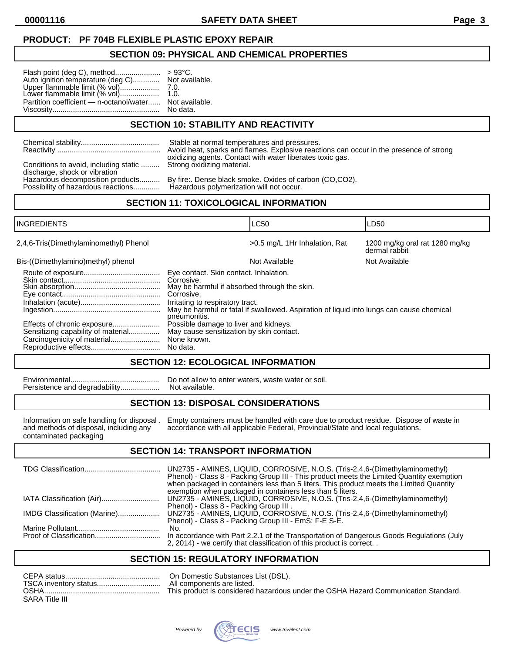## **PRODUCT: PF 704B FLEXIBLE PLASTIC EPOXY REPAIR**

#### **SECTION 09: PHYSICAL AND CHEMICAL PROPERTIES**

| Auto ignition temperature (deg C) Not available.<br>Upper flammable limit (% vol)            7.0.<br>Lower flammable limit (% vol)        1.0. |          |
|------------------------------------------------------------------------------------------------------------------------------------------------|----------|
| Partition coefficient - n-octanol/water Not available.                                                                                         | No data. |

## **SECTION 10: STABILITY AND REACTIVITY**

|                                                                                                    | Stable at normal temperatures and pressures.                                           |
|----------------------------------------------------------------------------------------------------|----------------------------------------------------------------------------------------|
|                                                                                                    | Avoid heat, sparks and flames. Explosive reactions can occur in the presence of strong |
| Conditions to avoid, including static  Strong oxidizing material.<br>discharge, shock or vibration | oxidizing agents. Contact with water liberates toxic gas.                              |
| Hazardous decomposition products                                                                   | By fire:. Dense black smoke. Oxides of carbon (CO,CO2).                                |
| Possibility of hazardous reactions                                                                 | Hazardous polymerization will not occur.                                               |

## **SECTION 11: TOXICOLOGICAL INFORMATION**

| <b>INGREDIENTS</b>                                                |                                                                                                                                                                        | <b>LC50</b>                                                                              | LD50                                            |
|-------------------------------------------------------------------|------------------------------------------------------------------------------------------------------------------------------------------------------------------------|------------------------------------------------------------------------------------------|-------------------------------------------------|
| 2,4,6-Tris(Dimethylaminomethyl) Phenol                            |                                                                                                                                                                        | >0.5 mg/L 1Hr Inhalation, Rat                                                            | 1200 mg/kg oral rat 1280 mg/kg<br>dermal rabbit |
| Bis-((Dimethylamino)methyl) phenol                                |                                                                                                                                                                        | Not Available                                                                            | Not Available                                   |
|                                                                   | Eye contact. Skin contact. Inhalation.<br>Corrosive.<br>May be harmful if absorbed through the skin.<br>Corrosive.<br>Irritating to respiratory tract.<br>pneumonitis. | May be harmful or fatal if swallowed. Aspiration of liquid into lungs can cause chemical |                                                 |
| Effects of chronic exposure<br>Sensitizing capability of material | Possible damage to liver and kidneys.<br>May cause sensitization by skin contact.<br>None known.<br>No data.                                                           |                                                                                          |                                                 |

#### **SECTION 12: ECOLOGICAL INFORMATION**

Persistence and degradability...................

Environmental........................................... Do not allow to enter waters, waste water or soil.

## **SECTION 13: DISPOSAL CONSIDERATIONS**

contaminated packaging

Information on safe handling for disposal . Empty containers must be handled with care due to product residue. Dispose of waste in and methods of disposal, including any accordance with all applicable Federal, Provincial/S and methods of disposal, including and methods of disposal, including accordance with all applicable Federal, Provincial/State and local regulations.

## **SECTION 14: TRANSPORT INFORMATION**

|                              | UN2735 - AMINES, LIQUID, CORROSIVE, N.O.S. (Tris-2,4,6-(Dimethylaminomethyl)<br>Phenol) - Class 8 - Packing Group III - This product meets the Limited Quantity exemption<br>when packaged in containers less than 5 liters. This product meets the Limited Quantity<br>exemption when packaged in containers less than 5 liters. |
|------------------------------|-----------------------------------------------------------------------------------------------------------------------------------------------------------------------------------------------------------------------------------------------------------------------------------------------------------------------------------|
| IATA Classification (Air)    | UN2735 - AMINES, LIQUID, CORROSIVE, N.O.S. (Tris-2,4,6-(Dimethylaminomethyl)<br>Phenol) - Class 8 - Packing Group III.                                                                                                                                                                                                            |
| IMDG Classification (Marine) | UN2735 - AMINES, LIQUID, CORROSIVE, N.O.S. (Tris-2,4,6-(Dimethylaminomethyl)<br>Phenol) - Class 8 - Packing Group III - EmS: F-E S-E.                                                                                                                                                                                             |
|                              | No.                                                                                                                                                                                                                                                                                                                               |
|                              | In accordance with Part 2.2.1 of the Transportation of Dangerous Goods Regulations (July<br>2, 2014) - we certify that classification of this product is correct                                                                                                                                                                  |

## **SECTION 15: REGULATORY INFORMATION**

| CEPA status           | On Domestic Substances List (DSL).                                                 |
|-----------------------|------------------------------------------------------------------------------------|
| TSCA inventory status | All components are listed.                                                         |
| OSHA.                 | This product is considered hazardous under the OSHA Hazard Communication Standard. |
| SARA Title III        |                                                                                    |